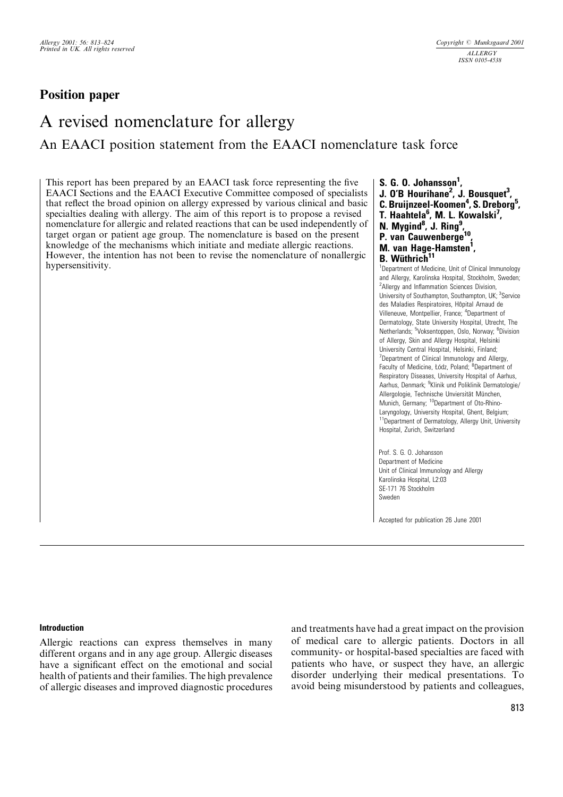# Position paper

# A revised nomenclature for allergy An EAACI position statement from the EAACI nomenclature task force

This report has been prepared by an EAACI task force representing the five EAACI Sections and the EAACI Executive Committee composed of specialists that reflect the broad opinion on allergy expressed by various clinical and basic specialties dealing with allergy. The aim of this report is to propose a revised nomenclature for allergic and related reactions that can be used independently of target organ or patient age group. The nomenclature is based on the present knowledge of the mechanisms which initiate and mediate allergic reactions. However, the intention has not been to revise the nomenclature of nonallergic hypersensitivity.

- S. G. O. Johansson<sup>1</sup>,
- J. O'B Hourihane<sup>2</sup>, J. Bousquet<sup>3</sup>,
- C. Bruijnzeel-Koomen<sup>4</sup>, S. Dreborg<sup>5</sup>,
- T. Haahtela<sup>6</sup>, M. L. Kowalski<sup>7</sup>,
- N. Mygind<sup>8</sup>, J. Ring<sup>9</sup>,
- P. van Cauwenberge<sup>10</sup>,
- M. van Hage-Hamsten<sup>i</sup>,

# **B.** Wüthrich<sup>11</sup>

<sup>1</sup>Department of Medicine, Unit of Clinical Immunology and Allergy, Karolinska Hospital, Stockholm, Sweden; <sup>2</sup> Allergy and Inflammation Sciences Division, University of Southampton, Southampton, UK; <sup>3</sup>Service des Maladies Respiratoires, Hôpital Arnaud de Villeneuve, Montpellier, France; <sup>4</sup>Department of Dermatology, State University Hospital, Utrecht, The Netherlands; <sup>5</sup>Voksentoppen, Oslo, Norway; <sup>6</sup>Division of Allergy, Skin and Allergy Hospital, Helsinki University Central Hospital, Helsinki, Finland; <sup>7</sup>Department of Clinical Immunology and Allergy, Faculty of Medicine, Łódz, Poland; <sup>8</sup>Department of Respiratory Diseases, University Hospital of Aarhus, Aarhus, Denmark; <sup>9</sup>Klinik und Poliklinik Dermatologie/ Allergologie, Technische Unviersität München, Munich, Germany; <sup>10</sup>Department of Oto-Rhino-Laryngology, University Hospital, Ghent, Belgium; <sup>11</sup>Department of Dermatology, Allergy Unit, University Hospital, Zurich, Switzerland

Prof. S. G. O. Johansson Department of Medicine Unit of Clinical Immunology and Allergy Karolinska Hospital, L2:03 SE-171 76 Stockholm Sweden

Accepted for publication 26 June 2001

#### Introduction

Allergic reactions can express themselves in many different organs and in any age group. Allergic diseases have a significant effect on the emotional and social health of patients and their families. The high prevalence of allergic diseases and improved diagnostic procedures and treatments have had a great impact on the provision of medical care to allergic patients. Doctors in all community- or hospital-based specialties are faced with patients who have, or suspect they have, an allergic disorder underlying their medical presentations. To avoid being misunderstood by patients and colleagues,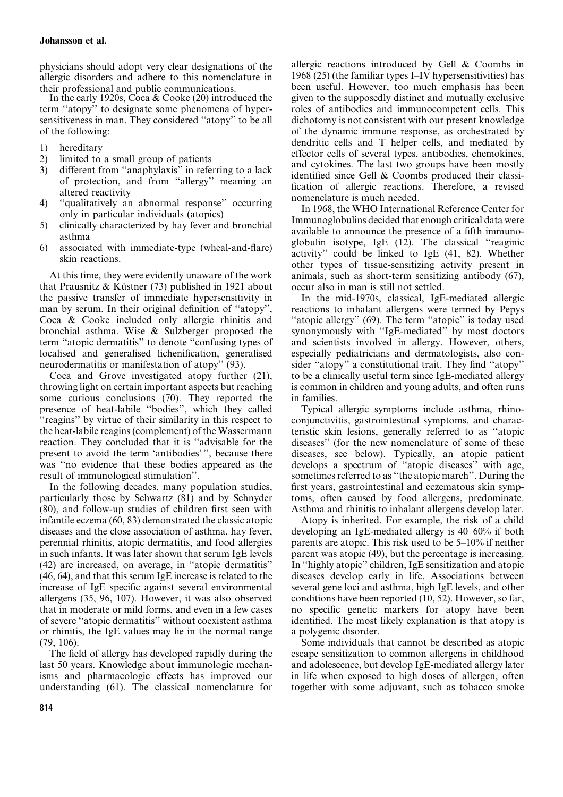physicians should adopt very clear designations of the allergic disorders and adhere to this nomenclature in

their professional and public communications. In the early 1920s, Coca & Cooke (20) introduced the term ''atopy'' to designate some phenomena of hypersensitiveness in man. They considered ''atopy'' to be all of the following:

- 1) hereditary
- 2) limited to a small group of patients
- 3) different from ''anaphylaxis'' in referring to a lack of protection, and from ''allergy'' meaning an altered reactivity
- 4) ''qualitatively an abnormal response'' occurring only in particular individuals (atopics)
- 5) clinically characterized by hay fever and bronchial asthma
- 6) associated with immediate-type (wheal-and-flare) skin reactions.

At this time, they were evidently unaware of the work that Prausnitz & Küstner  $(73)$  published in 1921 about the passive transfer of immediate hypersensitivity in man by serum. In their original definition of ''atopy'', Coca & Cooke included only allergic rhinitis and bronchial asthma. Wise & Sulzberger proposed the term ''atopic dermatitis'' to denote ''confusing types of localised and generalised lichenification, generalised neurodermatitis or manifestation of atopy'' (93).

Coca and Grove investigated atopy further (21), throwing light on certain important aspects but reaching some curious conclusions (70). They reported the presence of heat-labile ''bodies'', which they called ''reagins'' by virtue of their similarity in this respect to the heat-labile reagins (complement) of the Wassermann reaction. They concluded that it is ''advisable for the present to avoid the term 'antibodies' '', because there was ''no evidence that these bodies appeared as the result of immunological stimulation''.

In the following decades, many population studies, particularly those by Schwartz (81) and by Schnyder (80), and follow-up studies of children first seen with infantile eczema (60, 83) demonstrated the classic atopic diseases and the close association of asthma, hay fever, perennial rhinitis, atopic dermatitis, and food allergies in such infants. It was later shown that serum IgE levels (42) are increased, on average, in ''atopic dermatitis'' (46, 64), and that this serum IgE increase is related to the increase of IgE specific against several environmental allergens (35, 96, 107). However, it was also observed that in moderate or mild forms, and even in a few cases of severe ''atopic dermatitis'' without coexistent asthma or rhinitis, the IgE values may lie in the normal range (79, 106).

The field of allergy has developed rapidly during the last 50 years. Knowledge about immunologic mechanisms and pharmacologic effects has improved our understanding (61). The classical nomenclature for

allergic reactions introduced by Gell & Coombs in 1968 (25) (the familiar types I–IV hypersensitivities) has been useful. However, too much emphasis has been given to the supposedly distinct and mutually exclusive roles of antibodies and immunocompetent cells. This dichotomy is not consistent with our present knowledge of the dynamic immune response, as orchestrated by dendritic cells and T helper cells, and mediated by effector cells of several types, antibodies, chemokines, and cytokines. The last two groups have been mostly identified since Gell & Coombs produced their classification of allergic reactions. Therefore, a revised nomenclature is much needed.

In 1968, the WHO International Reference Center for Immunoglobulins decided that enough critical data were available to announce the presence of a fifth immunoglobulin isotype, IgE (12). The classical ''reaginic activity'' could be linked to IgE (41, 82). Whether other types of tissue-sensitizing activity present in animals, such as short-term sensitizing antibody (67), occur also in man is still not settled.

In the mid-1970s, classical, IgE-mediated allergic reactions to inhalant allergens were termed by Pepys "atopic allergy" (69). The term "atopic" is today used synonymously with ''IgE-mediated'' by most doctors and scientists involved in allergy. However, others, especially pediatricians and dermatologists, also consider "atopy" a constitutional trait. They find "atopy" to be a clinically useful term since IgE-mediated allergy is common in children and young adults, and often runs in families.

Typical allergic symptoms include asthma, rhinoconjunctivitis, gastrointestinal symptoms, and characteristic skin lesions, generally referred to as ''atopic diseases'' (for the new nomenclature of some of these diseases, see below). Typically, an atopic patient develops a spectrum of ''atopic diseases'' with age, sometimes referred to as ''the atopic march''. During the first years, gastrointestinal and eczematous skin symptoms, often caused by food allergens, predominate. Asthma and rhinitis to inhalant allergens develop later.

Atopy is inherited. For example, the risk of a child developing an IgE-mediated allergy is 40–60% if both parents are atopic. This risk used to be 5–10% if neither parent was atopic (49), but the percentage is increasing. In ''highly atopic'' children, IgE sensitization and atopic diseases develop early in life. Associations between several gene loci and asthma, high IgE levels, and other conditions have been reported (10, 52). However, so far, no specific genetic markers for atopy have been identified. The most likely explanation is that atopy is a polygenic disorder.

Some individuals that cannot be described as atopic escape sensitization to common allergens in childhood and adolescence, but develop IgE-mediated allergy later in life when exposed to high doses of allergen, often together with some adjuvant, such as tobacco smoke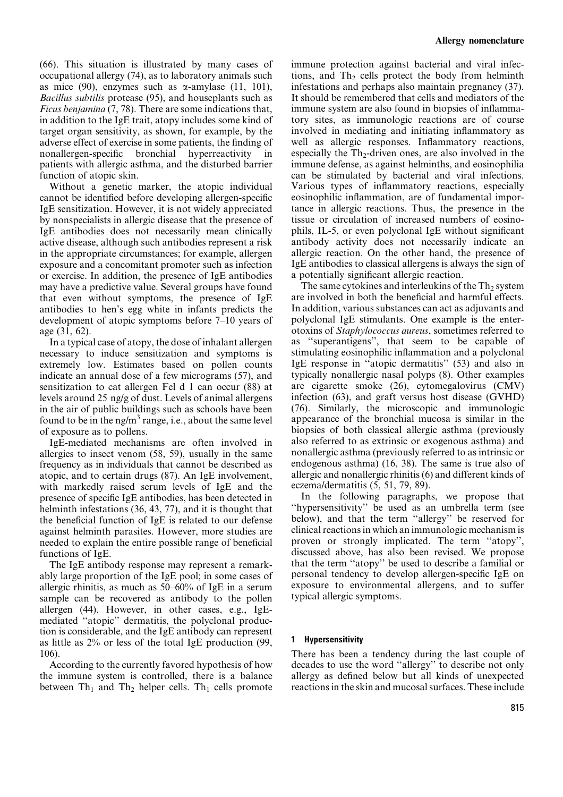(66). This situation is illustrated by many cases of occupational allergy (74), as to laboratory animals such as mice (90), enzymes such as  $\alpha$ -amylase (11, 101), Bacillus subtilis protease (95), and houseplants such as Ficus benjamina (7, 78). There are some indications that, in addition to the IgE trait, atopy includes some kind of target organ sensitivity, as shown, for example, by the adverse effect of exercise in some patients, the finding of nonallergen-specific bronchial hyperreactivity in patients with allergic asthma, and the disturbed barrier function of atopic skin.

Without a genetic marker, the atopic individual cannot be identified before developing allergen-specific IgE sensitization. However, it is not widely appreciated by nonspecialists in allergic disease that the presence of IgE antibodies does not necessarily mean clinically active disease, although such antibodies represent a risk in the appropriate circumstances; for example, allergen exposure and a concomitant promoter such as infection or exercise. In addition, the presence of IgE antibodies may have a predictive value. Several groups have found that even without symptoms, the presence of IgE antibodies to hen's egg white in infants predicts the development of atopic symptoms before 7–10 years of age (31, 62).

In a typical case of atopy, the dose of inhalant allergen necessary to induce sensitization and symptoms is extremely low. Estimates based on pollen counts indicate an annual dose of a few micrograms (57), and sensitization to cat allergen Fel d 1 can occur (88) at levels around 25 ng/g of dust. Levels of animal allergens in the air of public buildings such as schools have been found to be in the ng/m<sup>3</sup> range, i.e., about the same level of exposure as to pollens.

IgE-mediated mechanisms are often involved in allergies to insect venom (58, 59), usually in the same frequency as in individuals that cannot be described as atopic, and to certain drugs (87). An IgE involvement, with markedly raised serum levels of IgE and the presence of specific IgE antibodies, has been detected in helminth infestations (36, 43, 77), and it is thought that the beneficial function of IgE is related to our defense against helminth parasites. However, more studies are needed to explain the entire possible range of beneficial functions of IgE.

The IgE antibody response may represent a remarkably large proportion of the IgE pool; in some cases of allergic rhinitis, as much as 50–60% of IgE in a serum sample can be recovered as antibody to the pollen allergen (44). However, in other cases, e.g., IgEmediated ''atopic'' dermatitis, the polyclonal production is considerable, and the IgE antibody can represent as little as 2% or less of the total IgE production (99, 106).

According to the currently favored hypothesis of how the immune system is controlled, there is a balance between  $Th_1$  and  $Th_2$  helper cells. Th<sub>1</sub> cells promote immune protection against bacterial and viral infections, and  $Th_2$  cells protect the body from helminth infestations and perhaps also maintain pregnancy (37). It should be remembered that cells and mediators of the immune system are also found in biopsies of inflammatory sites, as immunologic reactions are of course involved in mediating and initiating inflammatory as well as allergic responses. Inflammatory reactions, especially the  $Th_2$ -driven ones, are also involved in the immune defense, as against helminths, and eosinophilia can be stimulated by bacterial and viral infections. Various types of inflammatory reactions, especially eosinophilic inflammation, are of fundamental importance in allergic reactions. Thus, the presence in the tissue or circulation of increased numbers of eosinophils, IL-5, or even polyclonal IgE without significant antibody activity does not necessarily indicate an allergic reaction. On the other hand, the presence of IgE antibodies to classical allergens is always the sign of a potentially significant allergic reaction.

The same cytokines and interleukins of the  $Th<sub>2</sub>$  system are involved in both the beneficial and harmful effects. In addition, various substances can act as adjuvants and polyclonal IgE stimulants. One example is the enterotoxins of Staphylococcus aureus, sometimes referred to as ''superantigens'', that seem to be capable of stimulating eosinophilic inflammation and a polyclonal IgE response in ''atopic dermatitis'' (53) and also in typically nonallergic nasal polyps (8). Other examples are cigarette smoke (26), cytomegalovirus (CMV) infection (63), and graft versus host disease (GVHD) (76). Similarly, the microscopic and immunologic appearance of the bronchial mucosa is similar in the biopsies of both classical allergic asthma (previously also referred to as extrinsic or exogenous asthma) and nonallergic asthma (previously referred to as intrinsic or endogenous asthma) (16, 38). The same is true also of allergic and nonallergic rhinitis (6) and different kinds of eczema/dermatitis (5, 51, 79, 89).

In the following paragraphs, we propose that ''hypersensitivity'' be used as an umbrella term (see below), and that the term ''allergy'' be reserved for clinical reactions in which an immunologic mechanism is proven or strongly implicated. The term ''atopy'', discussed above, has also been revised. We propose that the term ''atopy'' be used to describe a familial or personal tendency to develop allergen-specific IgE on exposure to environmental allergens, and to suffer typical allergic symptoms.

## 1 Hypersensitivity

There has been a tendency during the last couple of decades to use the word ''allergy'' to describe not only allergy as defined below but all kinds of unexpected reactions in the skin and mucosal surfaces. These include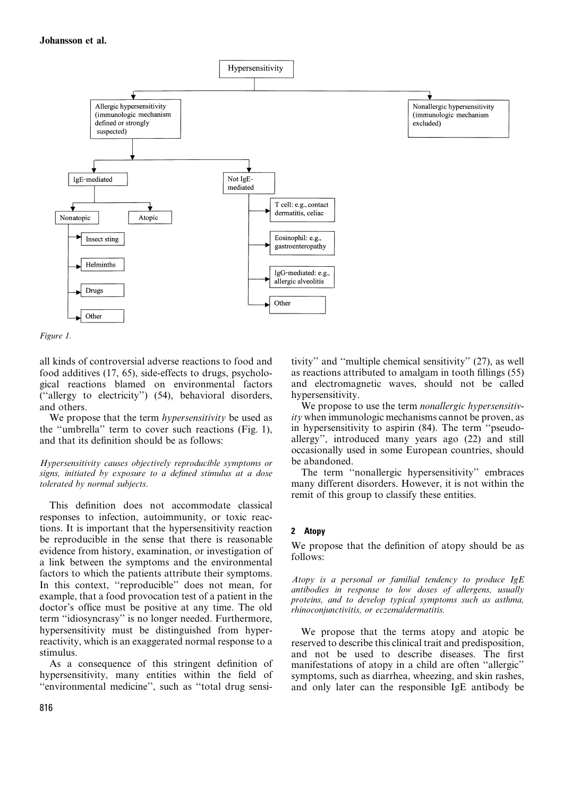

```
Figure 1.
```
all kinds of controversial adverse reactions to food and food additives (17, 65), side-effects to drugs, psychological reactions blamed on environmental factors (''allergy to electricity'') (54), behavioral disorders, and others.

We propose that the term *hypersensitivity* be used as the ''umbrella'' term to cover such reactions (Fig. 1), and that its definition should be as follows:

Hypersensitivity causes objectively reproducible symptoms or signs, initiated by exposure to a defined stimulus at a dose tolerated by normal subjects.

This definition does not accommodate classical responses to infection, autoimmunity, or toxic reactions. It is important that the hypersensitivity reaction be reproducible in the sense that there is reasonable evidence from history, examination, or investigation of a link between the symptoms and the environmental factors to which the patients attribute their symptoms. In this context, ''reproducible'' does not mean, for example, that a food provocation test of a patient in the doctor's office must be positive at any time. The old term ''idiosyncrasy'' is no longer needed. Furthermore, hypersensitivity must be distinguished from hyperreactivity, which is an exaggerated normal response to a stimulus.

As a consequence of this stringent definition of hypersensitivity, many entities within the field of ''environmental medicine'', such as ''total drug sensitivity'' and ''multiple chemical sensitivity'' (27), as well as reactions attributed to amalgam in tooth fillings (55) and electromagnetic waves, should not be called hypersensitivity.

We propose to use the term *nonallergic hypersensitiv*ity when immunologic mechanisms cannot be proven, as in hypersensitivity to aspirin (84). The term ''pseudoallergy'', introduced many years ago (22) and still occasionally used in some European countries, should be abandoned.

The term ''nonallergic hypersensitivity'' embraces many different disorders. However, it is not within the remit of this group to classify these entities.

## 2 Atopy

We propose that the definition of atopy should be as follows:

Atopy is a personal or familial tendency to produce  $IgE$ antibodies in response to low doses of allergens, usually proteins, and to develop typical symptoms such as asthma, rhinoconjunctivitis, or eczema/dermatitis.

We propose that the terms atopy and atopic be reserved to describe this clinical trait and predisposition, and not be used to describe diseases. The first manifestations of atopy in a child are often ''allergic'' symptoms, such as diarrhea, wheezing, and skin rashes, and only later can the responsible IgE antibody be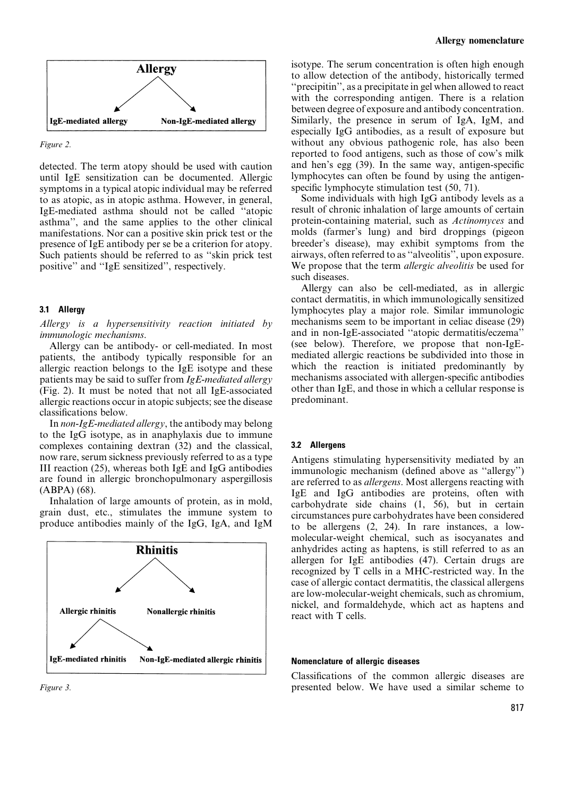

Figure 2.

detected. The term atopy should be used with caution until IgE sensitization can be documented. Allergic symptoms in a typical atopic individual may be referred to as atopic, as in atopic asthma. However, in general, IgE-mediated asthma should not be called ''atopic asthma'', and the same applies to the other clinical manifestations. Nor can a positive skin prick test or the presence of IgE antibody per se be a criterion for atopy. Such patients should be referred to as ''skin prick test positive'' and ''IgE sensitized'', respectively.

#### 3.1 Allergy

Allergy is a hypersensitivity reaction initiated by immunologic mechanisms.

Allergy can be antibody- or cell-mediated. In most patients, the antibody typically responsible for an allergic reaction belongs to the IgE isotype and these patients may be said to suffer from IgE-mediated allergy (Fig. 2). It must be noted that not all IgE-associated allergic reactions occur in atopic subjects; see the disease classifications below.

In non-IgE-mediated allergy, the antibody may belong to the IgG isotype, as in anaphylaxis due to immune complexes containing dextran (32) and the classical, now rare, serum sickness previously referred to as a type III reaction (25), whereas both IgE and IgG antibodies are found in allergic bronchopulmonary aspergillosis (ABPA) (68).

Inhalation of large amounts of protein, as in mold, grain dust, etc., stimulates the immune system to produce antibodies mainly of the IgG, IgA, and IgM



Figure 3.

isotype. The serum concentration is often high enough to allow detection of the antibody, historically termed ''precipitin'', as a precipitate in gel when allowed to react with the corresponding antigen. There is a relation between degree of exposure and antibody concentration. Similarly, the presence in serum of IgA, IgM, and especially IgG antibodies, as a result of exposure but without any obvious pathogenic role, has also been reported to food antigens, such as those of cow's milk and hen's egg (39). In the same way, antigen-specific lymphocytes can often be found by using the antigenspecific lymphocyte stimulation test (50, 71).

Some individuals with high IgG antibody levels as a result of chronic inhalation of large amounts of certain protein-containing material, such as Actinomyces and molds (farmer's lung) and bird droppings (pigeon breeder's disease), may exhibit symptoms from the airways, often referred to as ''alveolitis'', upon exposure. We propose that the term *allergic alveolitis* be used for such diseases.

Allergy can also be cell-mediated, as in allergic contact dermatitis, in which immunologically sensitized lymphocytes play a major role. Similar immunologic mechanisms seem to be important in celiac disease (29) and in non-IgE-associated ''atopic dermatitis/eczema'' (see below). Therefore, we propose that non-IgEmediated allergic reactions be subdivided into those in which the reaction is initiated predominantly by mechanisms associated with allergen-specific antibodies other than IgE, and those in which a cellular response is predominant.

#### 3.2 Allergens

Antigens stimulating hypersensitivity mediated by an immunologic mechanism (defined above as ''allergy'') are referred to as allergens. Most allergens reacting with IgE and IgG antibodies are proteins, often with carbohydrate side chains (1, 56), but in certain circumstances pure carbohydrates have been considered to be allergens (2, 24). In rare instances, a lowmolecular-weight chemical, such as isocyanates and anhydrides acting as haptens, is still referred to as an allergen for IgE antibodies (47). Certain drugs are recognized by T cells in a MHC-restricted way. In the case of allergic contact dermatitis, the classical allergens are low-molecular-weight chemicals, such as chromium, nickel, and formaldehyde, which act as haptens and react with T cells.

#### Nomenclature of allergic diseases

Classifications of the common allergic diseases are presented below. We have used a similar scheme to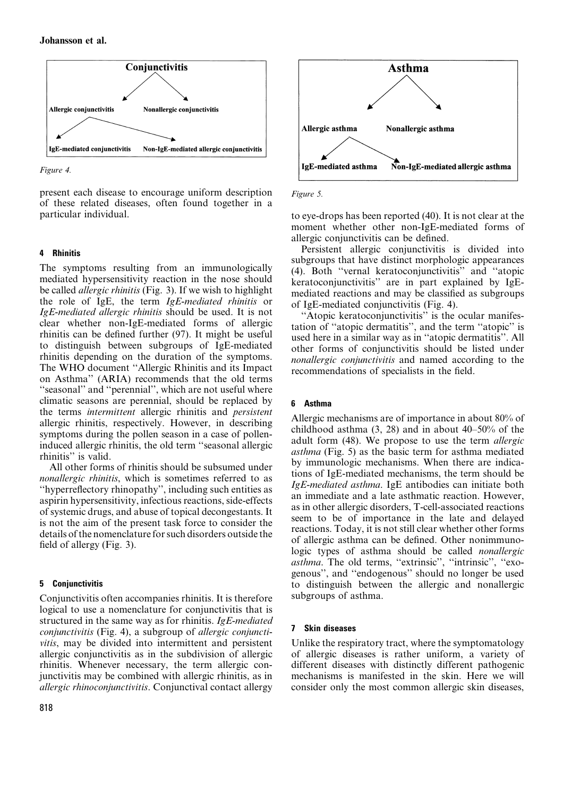

Figure 4.

present each disease to encourage uniform description of these related diseases, often found together in a particular individual.

# 4 Rhinitis

The symptoms resulting from an immunologically mediated hypersensitivity reaction in the nose should be called *allergic rhinitis* (Fig. 3). If we wish to highlight the role of IgE, the term IgE-mediated rhinitis or IgE-mediated allergic rhinitis should be used. It is not clear whether non-IgE-mediated forms of allergic rhinitis can be defined further (97). It might be useful to distinguish between subgroups of IgE-mediated rhinitis depending on the duration of the symptoms. The WHO document ''Allergic Rhinitis and its Impact on Asthma'' (ARIA) recommends that the old terms ''seasonal'' and ''perennial'', which are not useful where climatic seasons are perennial, should be replaced by the terms intermittent allergic rhinitis and persistent allergic rhinitis, respectively. However, in describing symptoms during the pollen season in a case of polleninduced allergic rhinitis, the old term ''seasonal allergic rhinitis'' is valid.

All other forms of rhinitis should be subsumed under nonallergic rhinitis, which is sometimes referred to as ''hyperreflectory rhinopathy'', including such entities as aspirin hypersensitivity, infectious reactions, side-effects of systemic drugs, and abuse of topical decongestants. It is not the aim of the present task force to consider the details of the nomenclature for such disorders outside the field of allergy (Fig. 3).

# 5 Conjunctivitis

Conjunctivitis often accompanies rhinitis. It is therefore logical to use a nomenclature for conjunctivitis that is structured in the same way as for rhinitis. IgE-mediated conjunctivitis (Fig. 4), a subgroup of allergic conjunctivitis, may be divided into intermittent and persistent allergic conjunctivitis as in the subdivision of allergic rhinitis. Whenever necessary, the term allergic conjunctivitis may be combined with allergic rhinitis, as in allergic rhinoconjunctivitis. Conjunctival contact allergy



Figure 5.

to eye-drops has been reported (40). It is not clear at the moment whether other non-IgE-mediated forms of allergic conjunctivitis can be defined.

Persistent allergic conjunctivitis is divided into subgroups that have distinct morphologic appearances (4). Both ''vernal keratoconjunctivitis'' and ''atopic keratoconjunctivitis'' are in part explained by IgEmediated reactions and may be classified as subgroups of IgE-mediated conjunctivitis (Fig. 4).

"Atopic keratoconjunctivitis" is the ocular manifestation of ''atopic dermatitis'', and the term ''atopic'' is used here in a similar way as in ''atopic dermatitis''. All other forms of conjunctivitis should be listed under nonallergic conjunctivitis and named according to the recommendations of specialists in the field.

# 6 Asthma

Allergic mechanisms are of importance in about 80% of childhood asthma (3, 28) and in about 40–50% of the adult form (48). We propose to use the term allergic asthma (Fig. 5) as the basic term for asthma mediated by immunologic mechanisms. When there are indications of IgE-mediated mechanisms, the term should be IgE-mediated asthma. IgE antibodies can initiate both an immediate and a late asthmatic reaction. However, as in other allergic disorders, T-cell-associated reactions seem to be of importance in the late and delayed reactions. Today, it is not still clear whether other forms of allergic asthma can be defined. Other nonimmunologic types of asthma should be called nonallergic asthma. The old terms, "extrinsic", "intrinsic", "exogenous'', and ''endogenous'' should no longer be used to distinguish between the allergic and nonallergic subgroups of asthma.

# 7 Skin diseases

Unlike the respiratory tract, where the symptomatology of allergic diseases is rather uniform, a variety of different diseases with distinctly different pathogenic mechanisms is manifested in the skin. Here we will consider only the most common allergic skin diseases,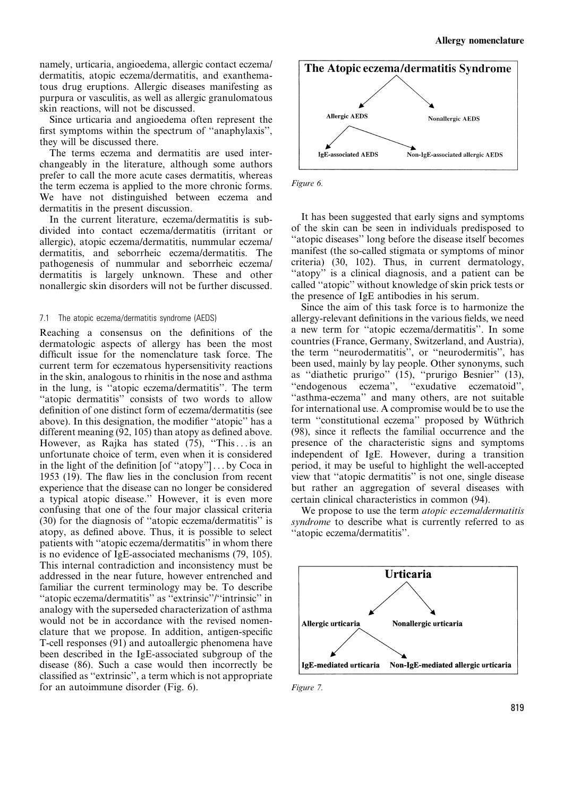namely, urticaria, angioedema, allergic contact eczema/ dermatitis, atopic eczema/dermatitis, and exanthematous drug eruptions. Allergic diseases manifesting as purpura or vasculitis, as well as allergic granulomatous skin reactions, will not be discussed.

Since urticaria and angioedema often represent the first symptoms within the spectrum of ''anaphylaxis'', they will be discussed there.

The terms eczema and dermatitis are used interchangeably in the literature, although some authors prefer to call the more acute cases dermatitis, whereas the term eczema is applied to the more chronic forms. We have not distinguished between eczema and dermatitis in the present discussion.

In the current literature, eczema/dermatitis is subdivided into contact eczema/dermatitis (irritant or allergic), atopic eczema/dermatitis, nummular eczema/ dermatitis, and seborrheic eczema/dermatitis. The pathogenesis of nummular and seborrheic eczema/ dermatitis is largely unknown. These and other nonallergic skin disorders will not be further discussed.

#### 7.1 The atopic eczema/dermatitis syndrome (AEDS)

Reaching a consensus on the definitions of the dermatologic aspects of allergy has been the most difficult issue for the nomenclature task force. The current term for eczematous hypersensitivity reactions in the skin, analogous to rhinitis in the nose and asthma in the lung, is ''atopic eczema/dermatitis''. The term "atopic dermatitis" consists of two words to allow definition of one distinct form of eczema/dermatitis (see above). In this designation, the modifier ''atopic'' has a different meaning (92, 105) than atopy as defined above. However, as Rajka has stated  $(75)$ , "This ... is an unfortunate choice of term, even when it is considered in the light of the definition [of ''atopy''] . . . by Coca in 1953 (19). The flaw lies in the conclusion from recent experience that the disease can no longer be considered a typical atopic disease.'' However, it is even more confusing that one of the four major classical criteria (30) for the diagnosis of ''atopic eczema/dermatitis'' is atopy, as defined above. Thus, it is possible to select patients with ''atopic eczema/dermatitis'' in whom there is no evidence of IgE-associated mechanisms (79, 105). This internal contradiction and inconsistency must be addressed in the near future, however entrenched and familiar the current terminology may be. To describe ''atopic eczema/dermatitis'' as ''extrinsic''/''intrinsic'' in analogy with the superseded characterization of asthma would not be in accordance with the revised nomenclature that we propose. In addition, antigen-specific T-cell responses (91) and autoallergic phenomena have been described in the IgE-associated subgroup of the disease (86). Such a case would then incorrectly be classified as ''extrinsic'', a term which is not appropriate for an autoimmune disorder (Fig. 6).





It has been suggested that early signs and symptoms of the skin can be seen in individuals predisposed to ''atopic diseases'' long before the disease itself becomes manifest (the so-called stigmata or symptoms of minor criteria) (30, 102). Thus, in current dermatology, "atopy" is a clinical diagnosis, and a patient can be called ''atopic'' without knowledge of skin prick tests or the presence of IgE antibodies in his serum.

Since the aim of this task force is to harmonize the allergy-relevant definitions in the various fields, we need a new term for ''atopic eczema/dermatitis''. In some countries (France, Germany, Switzerland, and Austria), the term ''neurodermatitis'', or ''neurodermitis'', has been used, mainly by lay people. Other synonyms, such as "diathetic prurigo" (15), "prurigo Besnier" (13), "endogenous eczema", "exudative eczematoid", "exudative eczematoid", "asthma-eczema" and many others, are not suitable for international use. A compromise would be to use the term "constitutional eczema" proposed by Wüthrich (98), since it reflects the familial occurrence and the presence of the characteristic signs and symptoms independent of IgE. However, during a transition period, it may be useful to highlight the well-accepted view that ''atopic dermatitis'' is not one, single disease but rather an aggregation of several diseases with certain clinical characteristics in common (94).

We propose to use the term *atopic eczemaldermatitis* syndrome to describe what is currently referred to as ''atopic eczema/dermatitis''.



Figure 7.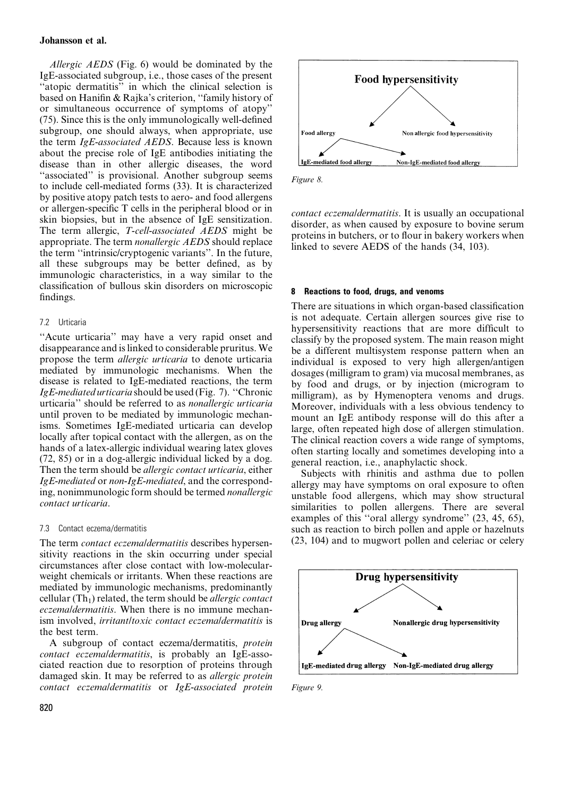#### Johansson et al.

Allergic AEDS (Fig. 6) would be dominated by the IgE-associated subgroup, i.e., those cases of the present ''atopic dermatitis'' in which the clinical selection is based on Hanifin & Rajka's criterion, ''family history of or simultaneous occurrence of symptoms of atopy'' (75). Since this is the only immunologically well-defined subgroup, one should always, when appropriate, use the term IgE-associated AEDS. Because less is known about the precise role of IgE antibodies initiating the disease than in other allergic diseases, the word "associated" is provisional. Another subgroup seems to include cell-mediated forms (33). It is characterized by positive atopy patch tests to aero- and food allergens or allergen-specific T cells in the peripheral blood or in skin biopsies, but in the absence of IgE sensitization. The term allergic, T-cell-associated AEDS might be appropriate. The term nonallergic AEDS should replace the term ''intrinsic/cryptogenic variants''. In the future, all these subgroups may be better defined, as by immunologic characteristics, in a way similar to the classification of bullous skin disorders on microscopic findings.

#### 7.2 Urticaria

''Acute urticaria'' may have a very rapid onset and disappearance and is linked to considerable pruritus. We propose the term allergic urticaria to denote urticaria mediated by immunologic mechanisms. When the disease is related to IgE-mediated reactions, the term IgE-mediated urticaria should be used (Fig. 7). ''Chronic urticaria'' should be referred to as nonallergic urticaria until proven to be mediated by immunologic mechanisms. Sometimes IgE-mediated urticaria can develop locally after topical contact with the allergen, as on the hands of a latex-allergic individual wearing latex gloves (72, 85) or in a dog-allergic individual licked by a dog. Then the term should be allergic contact urticaria, either IgE-mediated or non-IgE-mediated, and the corresponding, nonimmunologic form should be termed nonallergic contact urticaria.

#### 7.3 Contact eczema/dermatitis

The term *contact eczemaldermatitis* describes hypersensitivity reactions in the skin occurring under special circumstances after close contact with low-molecularweight chemicals or irritants. When these reactions are mediated by immunologic mechanisms, predominantly cellular  $(Th_1)$  related, the term should be *allergic contact* eczemaldermatitis. When there is no immune mechanism involved, irritant/toxic contact eczema/dermatitis is the best term.

A subgroup of contact eczema/dermatitis, protein contact eczemaldermatitis, is probably an IgE-associated reaction due to resorption of proteins through damaged skin. It may be referred to as allergic protein contact eczema/dermatitis or IgE-associated protein



Figure 8.

contact eczema/dermatitis. It is usually an occupational disorder, as when caused by exposure to bovine serum proteins in butchers, or to flour in bakery workers when linked to severe AEDS of the hands (34, 103).

#### 8 Reactions to food, drugs, and venoms

There are situations in which organ-based classification is not adequate. Certain allergen sources give rise to hypersensitivity reactions that are more difficult to classify by the proposed system. The main reason might be a different multisystem response pattern when an individual is exposed to very high allergen/antigen dosages (milligram to gram) via mucosal membranes, as by food and drugs, or by injection (microgram to milligram), as by Hymenoptera venoms and drugs. Moreover, individuals with a less obvious tendency to mount an IgE antibody response will do this after a large, often repeated high dose of allergen stimulation. The clinical reaction covers a wide range of symptoms, often starting locally and sometimes developing into a general reaction, i.e., anaphylactic shock.

Subjects with rhinitis and asthma due to pollen allergy may have symptoms on oral exposure to often unstable food allergens, which may show structural similarities to pollen allergens. There are several examples of this "oral allergy syndrome"  $(23, 45, 65)$ , such as reaction to birch pollen and apple or hazelnuts (23, 104) and to mugwort pollen and celeriac or celery



Figure 9.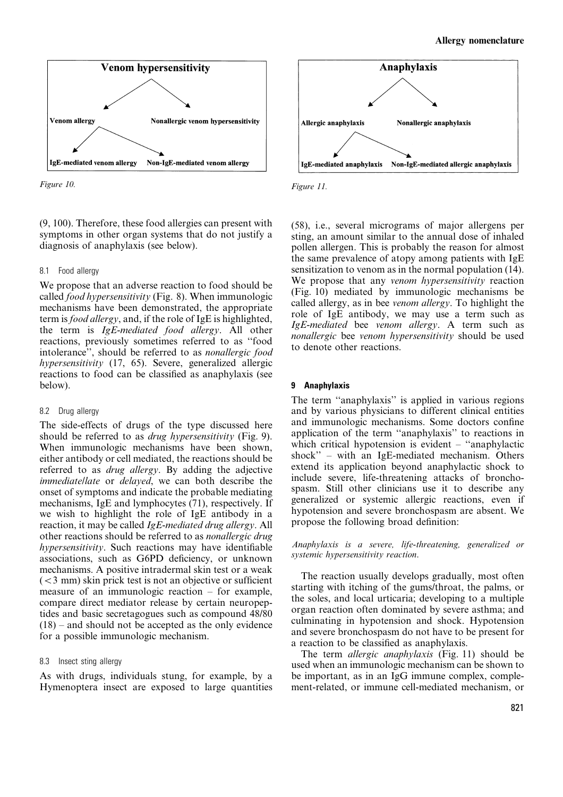

Figure 10. Figure 11.

(9, 100). Therefore, these food allergies can present with symptoms in other organ systems that do not justify a diagnosis of anaphylaxis (see below).

#### 8.1 Food allergy

We propose that an adverse reaction to food should be called food hypersensitivity (Fig. 8). When immunologic mechanisms have been demonstrated, the appropriate term is food allergy, and, if the role of IgE is highlighted, the term is IgE-mediated food allergy. All other reactions, previously sometimes referred to as ''food intolerance'', should be referred to as nonallergic food hypersensitivity (17, 65). Severe, generalized allergic reactions to food can be classified as anaphylaxis (see below).

#### 8.2 Drug allergy

The side-effects of drugs of the type discussed here should be referred to as *drug hypersensitivity* (Fig. 9). When immunologic mechanisms have been shown, either antibody or cell mediated, the reactions should be referred to as drug allergy. By adding the adjective immediatellate or delayed, we can both describe the onset of symptoms and indicate the probable mediating mechanisms, IgE and lymphocytes (71), respectively. If we wish to highlight the role of IgE antibody in a reaction, it may be called IgE-mediated drug allergy. All other reactions should be referred to as nonallergic drug hypersensitivity. Such reactions may have identifiable associations, such as G6PD deficiency, or unknown mechanisms. A positive intradermal skin test or a weak  $(<$ 3 mm) skin prick test is not an objective or sufficient measure of an immunologic reaction – for example, compare direct mediator release by certain neuropeptides and basic secretagogues such as compound 48/80 (18) – and should not be accepted as the only evidence for a possible immunologic mechanism.

#### 8.3 Insect sting allergy

As with drugs, individuals stung, for example, by a Hymenoptera insect are exposed to large quantities



(58), i.e., several micrograms of major allergens per sting, an amount similar to the annual dose of inhaled pollen allergen. This is probably the reason for almost the same prevalence of atopy among patients with IgE sensitization to venom as in the normal population (14). We propose that any venom hypersensitivity reaction (Fig. 10) mediated by immunologic mechanisms be called allergy, as in bee venom allergy. To highlight the role of IgE antibody, we may use a term such as IgE-mediated bee venom allergy. A term such as nonallergic bee venom hypersensitivity should be used to denote other reactions.

#### 9 Anaphylaxis

The term ''anaphylaxis'' is applied in various regions and by various physicians to different clinical entities and immunologic mechanisms. Some doctors confine application of the term ''anaphylaxis'' to reactions in which critical hypotension is evident – "anaphylactic shock'' – with an IgE-mediated mechanism. Others extend its application beyond anaphylactic shock to include severe, life-threatening attacks of bronchospasm. Still other clinicians use it to describe any generalized or systemic allergic reactions, even if hypotension and severe bronchospasm are absent. We propose the following broad definition:

Anaphylaxis is a severe, life-threatening, generalized or systemic hypersensitivity reaction.

The reaction usually develops gradually, most often starting with itching of the gums/throat, the palms, or the soles, and local urticaria; developing to a multiple organ reaction often dominated by severe asthma; and culminating in hypotension and shock. Hypotension and severe bronchospasm do not have to be present for a reaction to be classified as anaphylaxis.

The term *allergic anaphylaxis* (Fig. 11) should be used when an immunologic mechanism can be shown to be important, as in an IgG immune complex, complement-related, or immune cell-mediated mechanism, or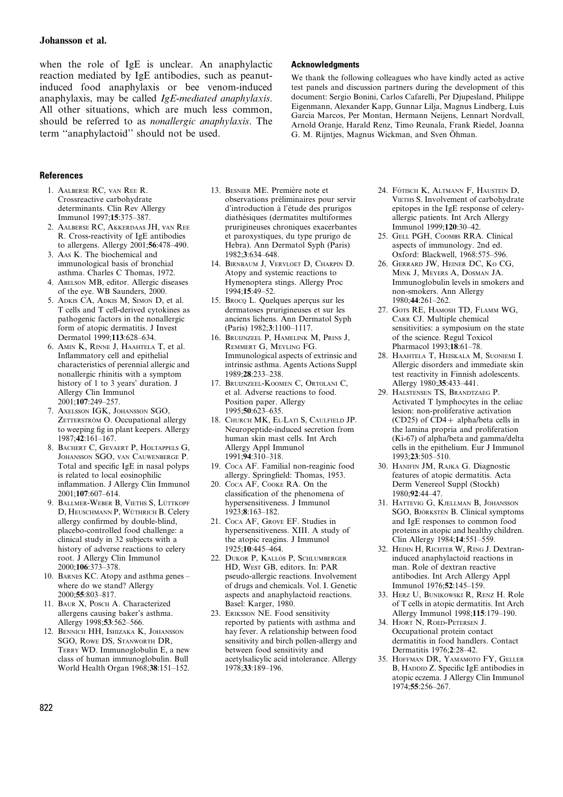when the role of IgE is unclear. An anaphylactic reaction mediated by IgE antibodies, such as peanutinduced food anaphylaxis or bee venom-induced anaphylaxis, may be called IgE-mediated anaphylaxis. All other situations, which are much less common, should be referred to as nonallergic anaphylaxis. The term ''anaphylactoid'' should not be used.

#### **Acknowledaments**

We thank the following colleagues who have kindly acted as active test panels and discussion partners during the development of this document: Sergio Bonini, Carlos Cafarelli, Per Djupesland, Philippe Eigenmann, Alexander Kapp, Gunnar Lilja, Magnus Lindberg, Luis Garcia Marcos, Per Montan, Hermann Neijens, Lennart Nordvall, Arnold Oranje, Harald Renz, Timo Reunala, Frank Riedel, Joanna G. M. Rijntjes, Magnus Wickman, and Sven Öhman.

#### References

- 1. AALBERSE RC, vAN REE R. Crossreactive carbohydrate determinants. Clin Rev Allergy Immunol 1997;15:375–387.
- 2. AALBERSE RC, AKKERDAAS JH, vAN REE R. Cross-reactivity of IgE antibodies to allergens. Allergy 2001;56:478–490.
- 3. AAS K. The biochemical and immunological basis of bronchial asthma. Charles C Thomas, 1972.
- 4. ABELSON MB, editor. Allergic diseases of the eye. WB Saunders, 2000.
- 5. ADKIS CA, ADKIS M, SIMON D, et al. T cells and T cell-derived cytokines as pathogenic factors in the nonallergic form of atopic dermatitis. J Invest Dermatol 1999;113:628–634.
- 6. AMIN K, RINNE J, HAAHTELA T, et al. Inflammatory cell and epithelial characteristics of perennial allergic and nonallergic rhinitis with a symptom history of 1 to 3 years' duration. J Allergy Clin Immunol 2001;107:249–257.
- 7. AXELSSON IGK, JOHANSSON SGO, ZETTERSTRÖM O. Occupational allergy to weeping fig in plant keepers. Allergy 1987;42:161–167.
- 8. BACHERT C, GEVAERT P, HOLTAPPELS G, JOHANSSON SGO, vAN CAUWENBERGE P. Total and specific IgE in nasal polyps is related to local eosinophilic inflammation. J Allergy Clin Immunol 2001;107:607–614.
- 9. BALLMER-WEBER B, VIETHS S, LÜTTKOPF D, HEUSCHMANN P, WÜTHRICH B. Celery allergy confirmed by double-blind, placebo-controlled food challenge: a clinical study in 32 subjects with a history of adverse reactions to celery root. J Allergy Clin Immunol 2000;106:373–378.
- 10. BARNES KC. Atopy and asthma genes where do we stand? Allergy 2000;55:803–817.
- 11. BAUR X, POSCH A. Characterized allergens causing baker's asthma. Allergy 1998;53:562–566.
- 12. BENNICH HH, ISHIZAKA K, JOHANSSON SGO, ROWE DS, STANWORTH DR, TERRY WD. Immunoglobulin E, a new class of human immunoglobulin. Bull World Health Organ 1968;38:151–152.
- 13. BESNIER ME. Première note et observations préliminaires pour servir d'introduction a` l'e´tude des prurigos diathésiques (dermatites multiformes prurigineuses chroniques exacerbantes et paroxystiques, du type prurigo de Hebra). Ann Dermatol Syph (Paris) 1982;3:634–648.
- 14. BIRNBAUM J, VERVLOET D, CHARPIN D. Atopy and systemic reactions to Hymenoptera stings. Allergy Proc 1994;15:49–52.
- 15. Broco L. Quelques apercus sur les dermatoses prurigineuses et sur les anciens lichens. Ann Dermatol Syph (Paris) 1982;3:1100–1117.
- 16. BRUIJNZEEL P, HAMELINK M, PRINS J, REMMERT G, MEYLING FG. Immunological aspects of extrinsic and intrinsic asthma. Agents Actions Suppl 1989;28:233–238.
- 17. BRUIJNZEEL-KOOMEN C, ORTOLANI C, et al. Adverse reactions to food. Position paper. Allergy 1995;50:623–635.
- 18. CHURCH MK, EL-LATI S, CAULFIELD JP. Neuropeptide-induced secretion from human skin mast cells. Int Arch Allergy Appl Immunol 1991;94:310–318.
- 19. COCA AF. Familial non-reaginic food allergy. Springfield: Thomas, 1953.
- 20. COCA AF, COOKE RA. On the classification of the phenomena of hypersensitiveness. J Immunol 1923;8:163–182.
- 21. COCA AF, GROVE EF. Studies in hypersensitiveness. XIII. A study of the atopic reagins. J Immunol 1925;10:445–464.
- 22. DUKOR P, KALLÓS P, SCHLUMBERGER HD, WEST GB, editors. In: PAR pseudo-allergic reactions. Involvement of drugs and chemicals. Vol. I. Genetic aspects and anaphylactoid reactions. Basel: Karger, 1980.
- 23. ERIKSSON NE. Food sensitivity reported by patients with asthma and hay fever. A relationship between food sensitivity and birch pollen-allergy and between food sensitivity and acetylsalicylic acid intolerance. Allergy 1978;33:189–196.
- 24. FÖTISCH K, ALTMANN F, HAUSTEIN D, VIETHS S. Involvement of carbohydrate epitopes in the IgE response of celeryallergic patients. Int Arch Allergy Immunol 1999;120:30–42.
- 25. GELL PGH, COOMBS RRA. Clinical aspects of immunology. 2nd ed. Oxford: Blackwell, 1968:575–596.
- 26. GERRARD JW, HEINER DC, KO CG, MINK J, MEYERS A, DOSMAN JA. Immunoglobulin levels in smokers and non-smokers. Ann Allergy 1980;44:261–262.
- 27. GOTS RE, HAMOSH TD, FLAMM WG, CARR CJ. Multiple chemical sensitivities: a symposium on the state of the science. Regul Toxicol Pharmacol 1993;18:61–78.
- 28. HAAHTELA T, HEISKALA M, SUONIEMI I. Allergic disorders and immediate skin test reactivity in Finnish adolescents. Allergy 1980;35:433–441.
- 29. HALSTENSEN TS, BRANDTZAEG P. Activated T lymphocytes in the celiac lesion: non-proliferative activation (CD25) of  $\overline{CD4}$  + alpha/beta cells in the lamina propria and proliferation (Ki-67) of alpha/beta and gamma/delta cells in the epithelium. Eur J Immunol 1993;23:505–510.
- 30. HANIFIN JM, RAJKA G. Diagnostic features of atopic dermatitis. Acta Derm Venereol Suppl (Stockh) 1980;92:44–47.
- 31. HATTEVIG G, KJELLMAN B, JOHANSSON SGO, BJÖRKSTÉN B. Clinical symptoms and IgE responses to common food proteins in atopic and healthy children. Clin Allergy 1984;14:551–559.
- 32. HEDIN H, RICHTER W, RING J. Dextraninduced anaphylactoid reactions in man. Role of dextran reactive antibodies. Int Arch Allergy Appl Immunol 1976;52:145–159.
- 33. HERZ U, BUNIKOWSKI R, RENZ H. Role of T cells in atopic dermatitis. Int Arch Allergy Immunol 1998;115:179–190.
- 34. HJORT N, ROED-PETERSEN J. Occupational protein contact dermatitis in food handlers. Contact Dermatitis 1976;2:28–42.
- 35. HOFFMAN DR, YAMAMOTO FY, GELLER B, HADDID Z. Specific IgE antibodies in atopic eczema. J Allergy Clin Immunol 1974;55:256–267.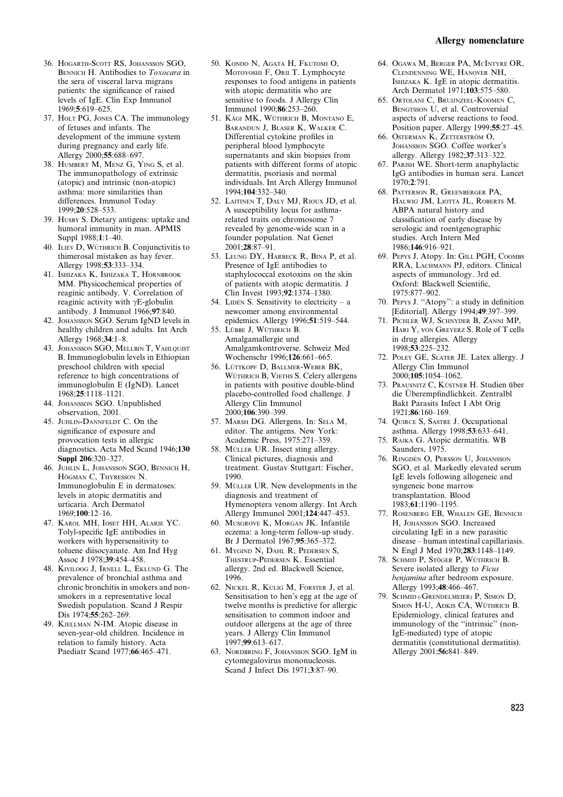- 36. HOGARTH-SCOTT RS, JOHANSSON SGO, BENNICH H. Antibodies to Toxocara in the sera of visceral larva migrans patients: the significance of raised levels of IgE. Clin Exp Immunol 1969;5:619–625.
- 37. HOLT PG, JONES CA. The immunology of fetuses and infants. The development of the immune system during pregnancy and early life. Allergy 2000;55:688-697.
- 38. HUMBERT M, MENZ G, YING S, et al. The immunopathology of extrinsic (atopic) and intrinsic (non-atopic) asthma: more similarities than differences. Immunol Today 1999;20:528–533.
- 39. HUSBY S. Dietary antigens: uptake and humoral immunity in man. APMIS Suppl 1988;1:1–40.
- 40. ILIEV D, WÜTHRICH B. Conjunctivitis to thimerosal mistaken as hay fever. Allergy 1998;53:333–334.
- 41. ISHIZAKA K, ISHIZAKA T, HORNBROOK MM. Physicochemical properties of reaginic antibody. V. Correlation of reaginic activity with  $\gamma$ E-globulin antibody. J Immunol 1966;97:840.
- 42. JOHANSSON SGO. Serum IgND levels in healthy children and adults. Int Arch Allergy 1968;34:1–8.
- 43. JOHANSSON SGO, MELLBIN T, VAHLOUIST B. Immunoglobulin levels in Ethiopian preschool children with special reference to high concentrations of immunoglobulin E (IgND). Lancet 1968;25:1118–1121.
- 44. JOHANSSON SGO. Unpublished observation, 2001.
- 45. JUHLIN-DANNFELDT C. On the significance of exposure and provocation tests in allergic diagnostics. Acta Med Scand 1946;130 Suppl 206:320–327.
- 46. JUHLIN L, JOHANSSON SGO, BENNICH H, HÖGMAN C, THYRESSON N. Immunoglobulin E in dermatoses: levels in atopic dermatitis and urticaria. Arch Dermatol 1969;100:12–16.
- 47. KAROL MH, IOSET HH, ALARIE YC. Tolyl-specific IgE antibodies in workers with hypersensitivity to toluene diisocyanate. Am Ind Hyg Assoc J 1978;39:454–458.
- 48. KIVILOOG J, IRNELL L, EKLUND G. The prevalence of bronchial asthma and chronic bronchitis in smokers and nonsmokers in a representative local Swedish population. Scand J Respir Dis 1974;55:262–269.
- 49. KJELLMAN N-IM. Atopic disease in seven-year-old children. Incidence in relation to family history. Acta Paediatr Scand 1977;66:465–471.
- 50. KONDO N, AGATA H, FKUTOMI O, MOTOYOSHI F, ORII T. Lymphocyte responses to food antigens in patients with atopic dermatitis who are sensitive to foods. J Allergy Clin Immunol 1990;86:253–260.
- 51. KÄGI MK, WÜTHRICH B, MONTANO E, BARANDUN J, BLASER K, WALKER C. Differential cytokine profiles in peripheral blood lymphocyte supernatants and skin biopsies from patients with different forms of atopic dermatitis, psoriasis and normal individuals. Int Arch Allergy Immunol 1994;104:332–340.
- 52. LAITINEN T, DALY MJ, RIOUX JD, et al. A susceptibility locus for asthmarelated traits on chromosome 7 revealed by genome-wide scan in a founder population. Nat Genet 2001;28:87–91.
- 53. LEUNG DY, HARBECK R, BINA P, et al. Presence of IgE antibodies to staphylococcal exotoxins on the skin of patients with atopic dermatitis. J Clin Invest 1993;92:1374–1380.
- 54. LIDÉN S. Sensitivity to electricity a newcomer among environmental epidemics. Allergy 1996;51:519–544.
- 55. LÜBBE J, WÜTHRICH B. Amalgamallergie und Amalgamkontroverse. Schweiz Med Wochenschr 1996;126:661–665.
- 56. LÜTTKOPF D, BALLMER-WEBER BK, WÜTHRICH B. VIETHS S. Celery allergens in patients with positive double-blind placebo-controlled food challenge. J Allergy Clin Immunol 2000;106:390–399.
- 57. MARSH DG. Allergens. In: SELA M, editor. The antigens. New York: Academic Press, 1975:271–359.
- 58. MÜLLER UR. Insect sting allergy. Clinical pictures, diagnosis and treatment. Gustav Stuttgart: Fischer, 1990.
- 59. MÜLLER UR. New developments in the diagnosis and treatment of Hymenoptera venom allergy. Int Arch Allergy Immunol 2001;124:447–453.
- 60. MUSGROVE K, MORGAN JK. Infantile eczema: a long-term follow-up study. Br J Dermatol 1967;95:365–372.
- 61. MYGIND N, DAHL R, PEDERSEN S, THESTRUP-PEDERSEN K. Essential allergy. 2nd ed. Blackwell Science, 1996.
- 62. NICKEL R, KULIG M, FORSTER J, et al. Sensitisation to hen's egg at the age of twelve months is predictive for allergic sensitisation to common indoor and outdoor allergens at the age of three years. J Allergy Clin Immunol 1997;99:613–617.
- 63. NORDBRING F, JOHANSSON SGO. IgM in cytomegalovirus mononucleosis. Scand J Infect Dis 1971;3:87–90.
- 64. OGAWA M, BERGER PA, MCINTYRE OR, CLENDENNING WE, HANOVER NH, ISHIZAKA K. IgE in atopic dermatitis. Arch Dermatol 1971;103:575–580.
- 65. ORTOLANI C, BRUIJNZEEL-KOOMEN C, BENGTSSON U, et al. Controversial aspects of adverse reactions to food. Position paper. Allergy 1999;55:27–45.
- 66. OSTERMAN K, ZETTERSTRÖM O, JOHANSSON SGO. Coffee worker's allergy. Allergy 1982;37:313–322.
- 67. PARISH WE. Short-term anaphylactic IgG antibodies in human sera. Lancet 1970;2:791.
- 68. PATTERSON R, GREENBERGER PA, HALWIG JM, LIOTTA JL, ROBERTS M. ABPA natural history and classification of early disease by serologic and roentgenographic studies. Arch Intern Med 1986;146:916–921.
- 69. PEPYS J. Atopy. In: GILL PGH, COOMBS RRA, LACHMANN PJ, editors. Clinical aspects of immunology. 3rd ed. Oxford: Blackwell Scientific, 1975:877–902.
- 70. PEPYS J. ''Atopy'': a study in definition [Editorial]. Allergy 1994;49:397–399.
- 71. PICHLER WJ, SCHNYDER B, ZANNI MP, HARI Y, vON GREYERZ S. Role of T cells in drug allergies. Allergy 1998;53:225–232.
- 72. POLEY GE, SLATER JE. Latex allergy. J Allergy Clin Immunol 2000;105:1054–1062.
- 73. PRAUSNITZ C, KÜSTNER H. Studien über die Überempfindlichkeit. Zentralbl Bakt Parasits Infect I Abt Orig 1921;86:160–169.
- 74. QUIRCE S, SASTRE J. Occupational asthma. Allergy 1998;53:633–641.
- 75. RAJKA G. Atopic dermatitis. WB Saunders, 1975.
- 76. RINGDÉN O, PERSSON U, JOHANSSON SGO, et al. Markedly elevated serum IgE levels following allogeneic and syngeneic bone marrow transplantation. Blood 1983;61:1190–1195.
- 77. ROSENBERG EB, WHALEN GE, BENNICH H, JOHANSSON SGO. Increased circulating IgE in a new parasitic disease – human intestinal capillariasis. N Engl J Med 1970;283:1148–1149.
- 78. SCHMID P, STÖGER P, WÜTHRICH B. Severe isolated allergy to Ficus benjamina after bedroom exposure. Allergy 1993;48:466–467.
- 79. SCHMID (-GRENDELMEIER) P, SIMON D, SIMON H-U, ADKIS CA, WÜTHRICH B. Epidemiology, clinical features and immunology of the ''intrinsic'' (non-IgE-mediated) type of atopic dermatitis (constitutional dermatitis). Allergy 2001;56:841–849.